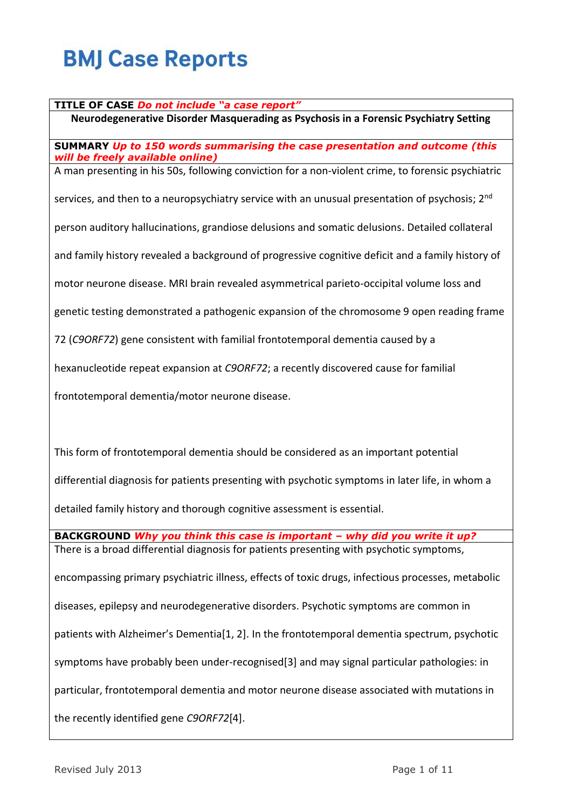#### **TITLE OF CASE** *Do not include "a case report"*

**Neurodegenerative Disorder Masquerading as Psychosis in a Forensic Psychiatry Setting**

**SUMMARY** *Up to 150 words summarising the case presentation and outcome (this will be freely available online)*

A man presenting in his 50s, following conviction for a non-violent crime, to forensic psychiatric

services, and then to a neuropsychiatry service with an unusual presentation of psychosis: 2<sup>nd</sup>

person auditory hallucinations, grandiose delusions and somatic delusions. Detailed collateral

and family history revealed a background of progressive cognitive deficit and a family history of

motor neurone disease. MRI brain revealed asymmetrical parieto-occipital volume loss and

genetic testing demonstrated a pathogenic expansion of the chromosome 9 open reading frame

72 (*C9ORF72*) gene consistent with familial frontotemporal dementia caused by a

hexanucleotide repeat expansion at *C9ORF72*; a recently discovered cause for familial

frontotemporal dementia/motor neurone disease.

This form of frontotemporal dementia should be considered as an important potential differential diagnosis for patients presenting with psychotic symptoms in later life, in whom a

detailed family history and thorough cognitive assessment is essential.

**BACKGROUND** *Why you think this case is important – why did you write it up?* There is a broad differential diagnosis for patients presenting with psychotic symptoms, encompassing primary psychiatric illness, effects of toxic drugs, infectious processes, metabolic diseases, epilepsy and neurodegenerative disorders. Psychotic symptoms are common in patients with Alzheimer's Dementia[1, 2]. In the frontotemporal dementia spectrum, psychotic symptoms have probably been under-recognised[3] and may signal particular pathologies: in particular, frontotemporal dementia and motor neurone disease associated with mutations in the recently identified gene *C9ORF72*[4].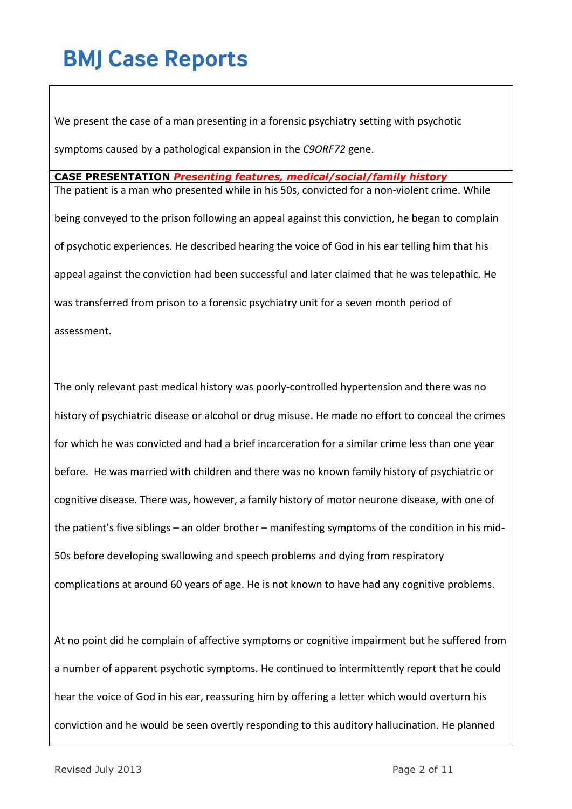We present the case of a man presenting in a forensic psychiatry setting with psychotic symptoms caused by a pathological expansion in the *C9ORF72* gene.

**CASE PRESENTATION** *Presenting features, medical/social/family history* The patient is a man who presented while in his 50s, convicted for a non-violent crime. While being conveyed to the prison following an appeal against this conviction, he began to complain of psychotic experiences. He described hearing the voice of God in his ear telling him that his appeal against the conviction had been successful and later claimed that he was telepathic. He was transferred from prison to a forensic psychiatry unit for a seven month period of assessment.

The only relevant past medical history was poorly-controlled hypertension and there was no history of psychiatric disease or alcohol or drug misuse. He made no effort to conceal the crimes for which he was convicted and had a brief incarceration for a similar crime less than one year before. He was married with children and there was no known family history of psychiatric or cognitive disease. There was, however, a family history of motor neurone disease, with one of the patient's five siblings – an older brother – manifesting symptoms of the condition in his mid-50s before developing swallowing and speech problems and dying from respiratory complications at around 60 years of age. He is not known to have had any cognitive problems.

At no point did he complain of affective symptoms or cognitive impairment but he suffered from a number of apparent psychotic symptoms. He continued to intermittently report that he could hear the voice of God in his ear, reassuring him by offering a letter which would overturn his conviction and he would be seen overtly responding to this auditory hallucination. He planned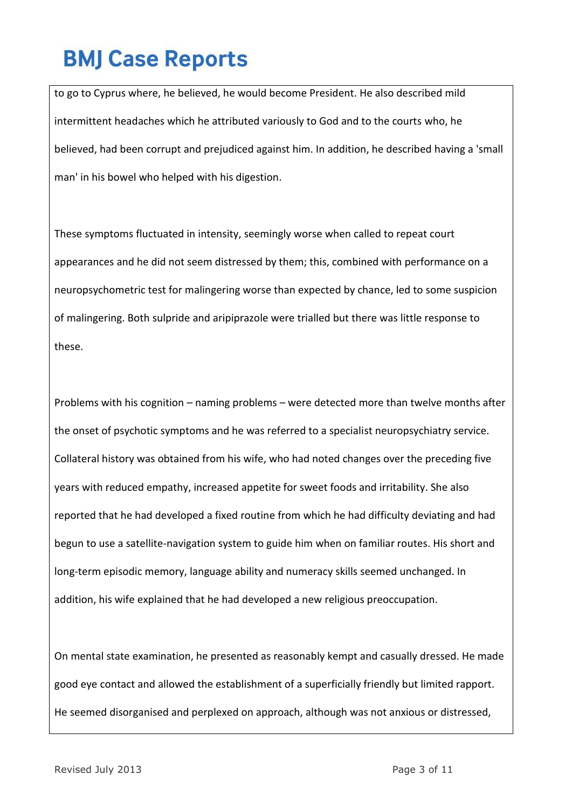to go to Cyprus where, he believed, he would become President. He also described mild intermittent headaches which he attributed variously to God and to the courts who, he believed, had been corrupt and prejudiced against him. In addition, he described having a 'small man' in his bowel who helped with his digestion.

These symptoms fluctuated in intensity, seemingly worse when called to repeat court appearances and he did not seem distressed by them; this, combined with performance on a neuropsychometric test for malingering worse than expected by chance, led to some suspicion of malingering. Both sulpride and aripiprazole were trialled but there was little response to these.

Problems with his cognition – naming problems – were detected more than twelve months after the onset of psychotic symptoms and he was referred to a specialist neuropsychiatry service. Collateral history was obtained from his wife, who had noted changes over the preceding five years with reduced empathy, increased appetite for sweet foods and irritability. She also reported that he had developed a fixed routine from which he had difficulty deviating and had begun to use a satellite-navigation system to guide him when on familiar routes. His short and long-term episodic memory, language ability and numeracy skills seemed unchanged. In addition, his wife explained that he had developed a new religious preoccupation.

On mental state examination, he presented as reasonably kempt and casually dressed. He made good eye contact and allowed the establishment of a superficially friendly but limited rapport. He seemed disorganised and perplexed on approach, although was not anxious or distressed,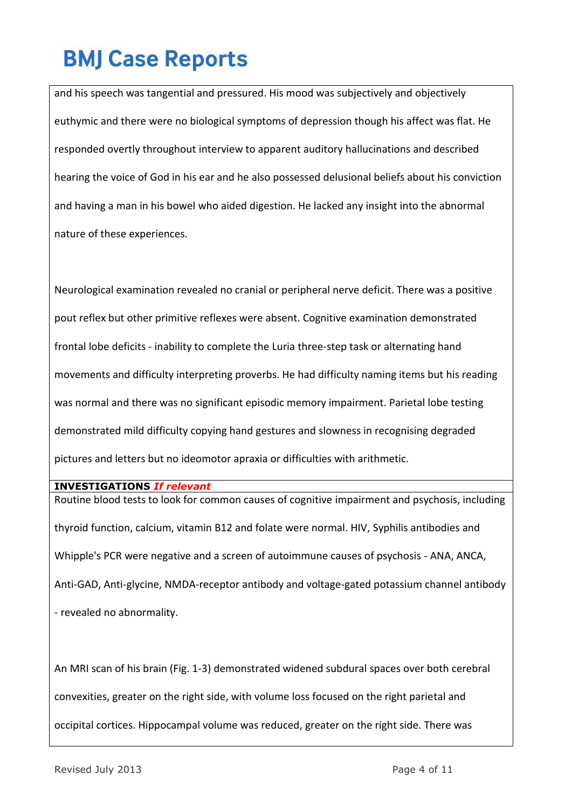and his speech was tangential and pressured. His mood was subjectively and objectively euthymic and there were no biological symptoms of depression though his affect was flat. He responded overtly throughout interview to apparent auditory hallucinations and described hearing the voice of God in his ear and he also possessed delusional beliefs about his conviction and having a man in his bowel who aided digestion. He lacked any insight into the abnormal nature of these experiences.

Neurological examination revealed no cranial or peripheral nerve deficit. There was a positive pout reflex but other primitive reflexes were absent. Cognitive examination demonstrated frontal lobe deficits - inability to complete the Luria three-step task or alternating hand movements and difficulty interpreting proverbs. He had difficulty naming items but his reading was normal and there was no significant episodic memory impairment. Parietal lobe testing demonstrated mild difficulty copying hand gestures and slowness in recognising degraded pictures and letters but no ideomotor apraxia or difficulties with arithmetic.

**INVESTIGATIONS** *If relevant*

Routine blood tests to look for common causes of cognitive impairment and psychosis, including thyroid function, calcium, vitamin B12 and folate were normal. HIV, Syphilis antibodies and Whipple's PCR were negative and a screen of autoimmune causes of psychosis - ANA, ANCA, Anti-GAD, Anti-glycine, NMDA-receptor antibody and voltage-gated potassium channel antibody - revealed no abnormality.

An MRI scan of his brain (Fig. 1-3) demonstrated widened subdural spaces over both cerebral convexities, greater on the right side, with volume loss focused on the right parietal and occipital cortices. Hippocampal volume was reduced, greater on the right side. There was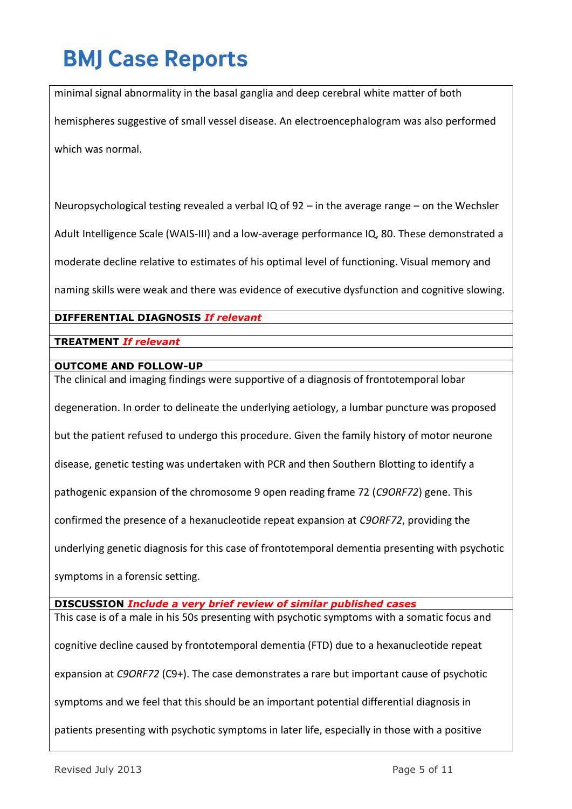minimal signal abnormality in the basal ganglia and deep cerebral white matter of both hemispheres suggestive of small vessel disease. An electroencephalogram was also performed which was normal.

Neuropsychological testing revealed a verbal IQ of  $92 - in$  the average range – on the Wechsler Adult Intelligence Scale (WAIS-III) and a low-average performance IQ, 80. These demonstrated a moderate decline relative to estimates of his optimal level of functioning. Visual memory and

naming skills were weak and there was evidence of executive dysfunction and cognitive slowing.

### **DIFFERENTIAL DIAGNOSIS** *If relevant*

**TREATMENT** *If relevant*

### **OUTCOME AND FOLLOW-UP**

The clinical and imaging findings were supportive of a diagnosis of frontotemporal lobar degeneration. In order to delineate the underlying aetiology, a lumbar puncture was proposed but the patient refused to undergo this procedure. Given the family history of motor neurone disease, genetic testing was undertaken with PCR and then Southern Blotting to identify a pathogenic expansion of the chromosome 9 open reading frame 72 (*C9ORF72*) gene. This confirmed the presence of a hexanucleotide repeat expansion at *C9ORF72*, providing the underlying genetic diagnosis for this case of frontotemporal dementia presenting with psychotic

symptoms in a forensic setting.

**DISCUSSION** *Include a very brief review of similar published cases* 

This case is of a male in his 50s presenting with psychotic symptoms with a somatic focus and cognitive decline caused by frontotemporal dementia (FTD) due to a hexanucleotide repeat expansion at *C9ORF72* (C9+). The case demonstrates a rare but important cause of psychotic symptoms and we feel that this should be an important potential differential diagnosis in patients presenting with psychotic symptoms in later life, especially in those with a positive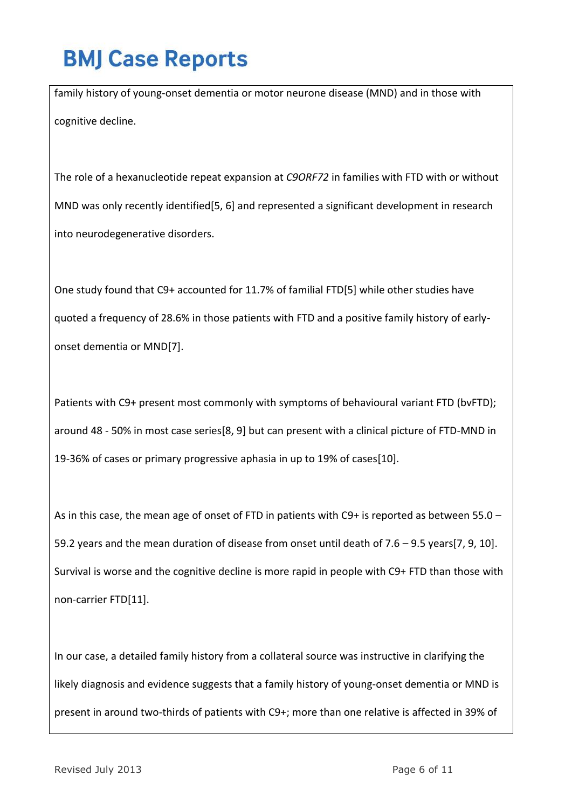family history of young-onset dementia or motor neurone disease (MND) and in those with cognitive decline.

The role of a hexanucleotide repeat expansion at *C9ORF72* in families with FTD with or without MND was only recently identified[5, 6] and represented a significant development in research into neurodegenerative disorders.

One study found that C9+ accounted for 11.7% of familial FTD[5] while other studies have quoted a frequency of 28.6% in those patients with FTD and a positive family history of earlyonset dementia or MND[7].

Patients with C9+ present most commonly with symptoms of behavioural variant FTD (bvFTD); around 48 - 50% in most case series[8, 9] but can present with a clinical picture of FTD-MND in 19-36% of cases or primary progressive aphasia in up to 19% of cases[10].

As in this case, the mean age of onset of FTD in patients with C9+ is reported as between 55.0 -59.2 years and the mean duration of disease from onset until death of 7.6 – 9.5 years[7, 9, 10]. Survival is worse and the cognitive decline is more rapid in people with C9+ FTD than those with non-carrier FTD[11].

In our case, a detailed family history from a collateral source was instructive in clarifying the likely diagnosis and evidence suggests that a family history of young-onset dementia or MND is present in around two-thirds of patients with C9+; more than one relative is affected in 39% of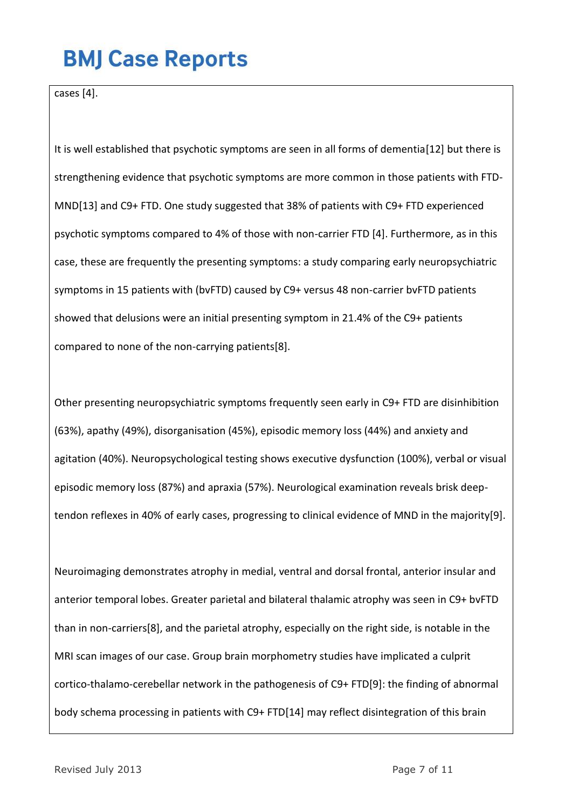cases [4].

It is well established that psychotic symptoms are seen in all forms of dementia[12] but there is strengthening evidence that psychotic symptoms are more common in those patients with FTD-MND[13] and C9+ FTD. One study suggested that 38% of patients with C9+ FTD experienced psychotic symptoms compared to 4% of those with non-carrier FTD [4]. Furthermore, as in this case, these are frequently the presenting symptoms: a study comparing early neuropsychiatric symptoms in 15 patients with (bvFTD) caused by C9+ versus 48 non-carrier bvFTD patients showed that delusions were an initial presenting symptom in 21.4% of the C9+ patients compared to none of the non-carrying patients[8].

Other presenting neuropsychiatric symptoms frequently seen early in C9+ FTD are disinhibition (63%), apathy (49%), disorganisation (45%), episodic memory loss (44%) and anxiety and agitation (40%). Neuropsychological testing shows executive dysfunction (100%), verbal or visual episodic memory loss (87%) and apraxia (57%). Neurological examination reveals brisk deeptendon reflexes in 40% of early cases, progressing to clinical evidence of MND in the majority[9].

Neuroimaging demonstrates atrophy in medial, ventral and dorsal frontal, anterior insular and anterior temporal lobes. Greater parietal and bilateral thalamic atrophy was seen in C9+ bvFTD than in non-carriers[8], and the parietal atrophy, especially on the right side, is notable in the MRI scan images of our case. Group brain morphometry studies have implicated a culprit cortico-thalamo-cerebellar network in the pathogenesis of C9+ FTD[9]: the finding of abnormal body schema processing in patients with C9+ FTD[14] may reflect disintegration of this brain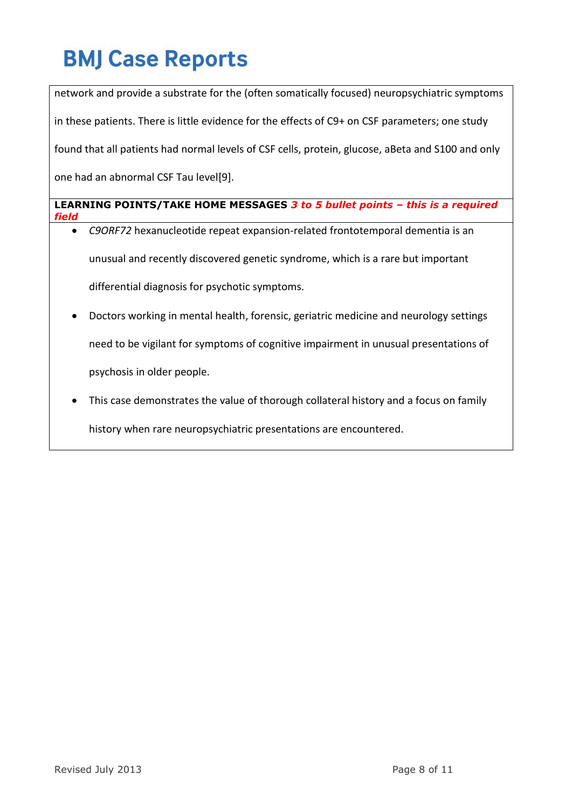network and provide a substrate for the (often somatically focused) neuropsychiatric symptoms in these patients. There is little evidence for the effects of C9+ on CSF parameters; one study found that all patients had normal levels of CSF cells, protein, glucose, aBeta and S100 and only one had an abnormal CSF Tau level[9].

**LEARNING POINTS/TAKE HOME MESSAGES** *3 to 5 bullet points – this is a required field*

- *C9ORF72* hexanucleotide repeat expansion-related frontotemporal dementia is an unusual and recently discovered genetic syndrome, which is a rare but important differential diagnosis for psychotic symptoms.
- Doctors working in mental health, forensic, geriatric medicine and neurology settings need to be vigilant for symptoms of cognitive impairment in unusual presentations of psychosis in older people.
- This case demonstrates the value of thorough collateral history and a focus on family history when rare neuropsychiatric presentations are encountered.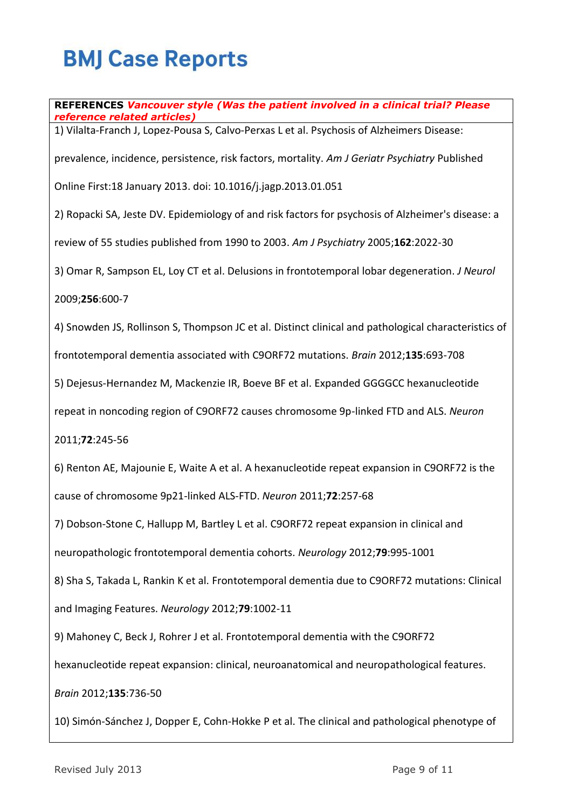**REFERENCES** *Vancouver style (Was the patient involved in a clinical trial? Please reference related articles)*

1) Vilalta-Franch J, Lopez-Pousa S, Calvo-Perxas L et al. Psychosis of Alzheimers Disease:

prevalence, incidence, persistence, risk factors, mortality. *Am J Geriatr Psychiatry* Published

Online First:18 January 2013. doi: 10.1016/j.jagp.2013.01.051

2) Ropacki SA, Jeste DV. Epidemiology of and risk factors for psychosis of Alzheimer's disease: a

review of 55 studies published from 1990 to 2003. *Am J Psychiatry* 2005;**162**:2022-30

3) Omar R, Sampson EL, Loy CT et al. Delusions in frontotemporal lobar degeneration. *J Neurol*

2009;**256**:600-7

4) Snowden JS, Rollinson S, Thompson JC et al. Distinct clinical and pathological characteristics of

frontotemporal dementia associated with C9ORF72 mutations. *Brain* 2012;**135**:693-708

5) Dejesus-Hernandez M, Mackenzie IR, Boeve BF et al. Expanded GGGGCC hexanucleotide

repeat in noncoding region of C9ORF72 causes chromosome 9p-linked FTD and ALS. *Neuron*

2011;**72**:245-56

6) Renton AE, Majounie E, Waite A et al. A hexanucleotide repeat expansion in C9ORF72 is the cause of chromosome 9p21-linked ALS-FTD. *Neuron* 2011;**72**:257-68

7) Dobson-Stone C, Hallupp M, Bartley L et al. C9ORF72 repeat expansion in clinical and

neuropathologic frontotemporal dementia cohorts. *Neurology* 2012;**79**:995-1001

8) Sha S, Takada L, Rankin K et al. Frontotemporal dementia due to C9ORF72 mutations: Clinical and Imaging Features. *Neurology* 2012;**79**:1002-11

9) Mahoney C, Beck J, Rohrer J et al. Frontotemporal dementia with the C9ORF72

hexanucleotide repeat expansion: clinical, neuroanatomical and neuropathological features.

*Brain* 2012;**135**:736-50

10) Simón-Sánchez J, Dopper E, Cohn-Hokke P et al. The clinical and pathological phenotype of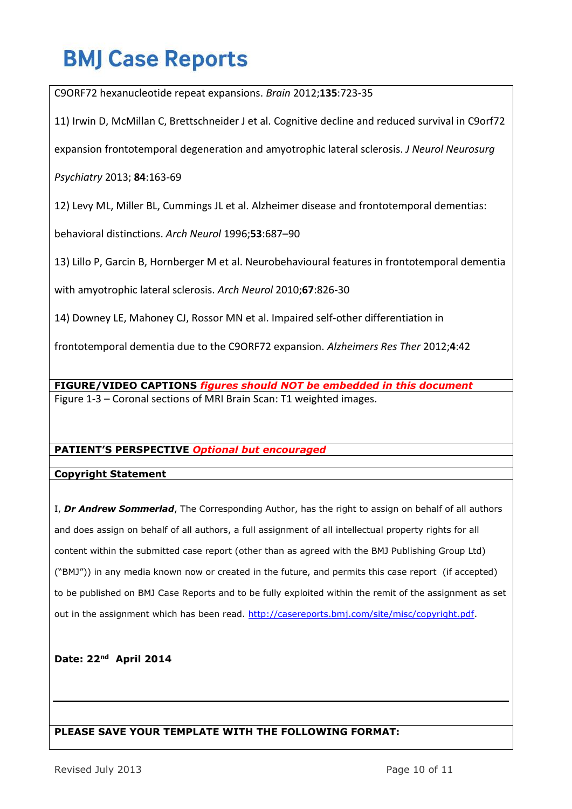C9ORF72 hexanucleotide repeat expansions. *Brain* 2012;**135**:723-35

11) Irwin D, McMillan C, Brettschneider J et al. Cognitive decline and reduced survival in C9orf72

expansion frontotemporal degeneration and amyotrophic lateral sclerosis. *J Neurol Neurosurg* 

*Psychiatry* 2013; **84**:163-69

12) Levy ML, Miller BL, Cummings JL et al. Alzheimer disease and frontotemporal dementias:

behavioral distinctions. *Arch Neurol* 1996;**53**:687–90

13) Lillo P, Garcin B, Hornberger M et al. Neurobehavioural features in frontotemporal dementia

with amyotrophic lateral sclerosis. *Arch Neurol* 2010;**67**:826-30

14) Downey LE, Mahoney CJ, Rossor MN et al. Impaired self-other differentiation in

frontotemporal dementia due to the C9ORF72 expansion. *Alzheimers Res Ther* 2012;**4**:42

**FIGURE/VIDEO CAPTIONS** *figures should NOT be embedded in this document* Figure 1-3 – Coronal sections of MRI Brain Scan: T1 weighted images.

### **PATIENT'S PERSPECTIVE** *Optional but encouraged*

### **Copyright Statement**

I, *Dr Andrew Sommerlad*, The Corresponding Author, has the right to assign on behalf of all authors and does assign on behalf of all authors, a full assignment of all intellectual property rights for all content within the submitted case report (other than as agreed with the BMJ Publishing Group Ltd) ("BMJ")) in any media known now or created in the future, and permits this case report (if accepted) to be published on BMJ Case Reports and to be fully exploited within the remit of the assignment as set out in the assignment which has been read. [http://casereports.bmj.com/site/misc/copyright.pdf.](http://casereports.bmj.com/site/misc/copyright.pdf)

**Date: 22nd April 2014**

#### **PLEASE SAVE YOUR TEMPLATE WITH THE FOLLOWING FORMAT:**